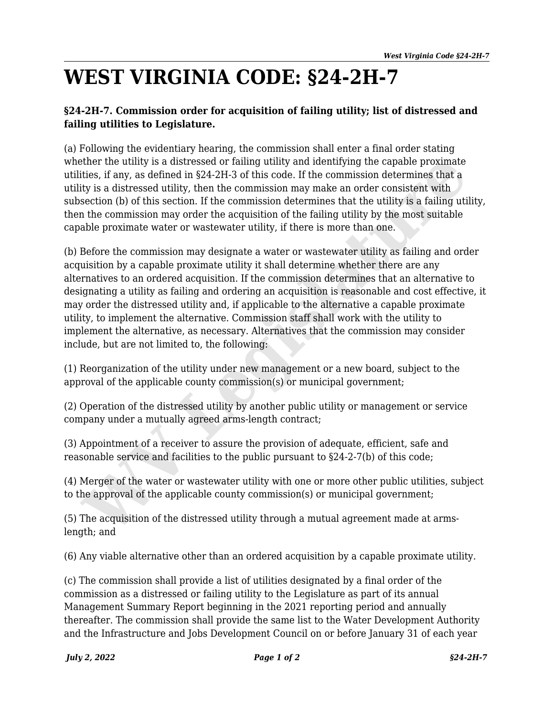## **WEST VIRGINIA CODE: §24-2H-7**

## **§24-2H-7. Commission order for acquisition of failing utility; list of distressed and failing utilities to Legislature.**

(a) Following the evidentiary hearing, the commission shall enter a final order stating whether the utility is a distressed or failing utility and identifying the capable proximate utilities, if any, as defined in §24-2H-3 of this code. If the commission determines that a utility is a distressed utility, then the commission may make an order consistent with subsection (b) of this section. If the commission determines that the utility is a failing utility, then the commission may order the acquisition of the failing utility by the most suitable capable proximate water or wastewater utility, if there is more than one.

(b) Before the commission may designate a water or wastewater utility as failing and order acquisition by a capable proximate utility it shall determine whether there are any alternatives to an ordered acquisition. If the commission determines that an alternative to designating a utility as failing and ordering an acquisition is reasonable and cost effective, it may order the distressed utility and, if applicable to the alternative a capable proximate utility, to implement the alternative. Commission staff shall work with the utility to implement the alternative, as necessary. Alternatives that the commission may consider include, but are not limited to, the following: ther the utility is a distressed or failing utility and identifying the capable proximate<br>lities, if any, as defined in \$24-2H-3 of this code. If the commission decremines that<br>ity is a distressed utility, then the commiss

(1) Reorganization of the utility under new management or a new board, subject to the approval of the applicable county commission(s) or municipal government;

(2) Operation of the distressed utility by another public utility or management or service company under a mutually agreed arms-length contract;

(3) Appointment of a receiver to assure the provision of adequate, efficient, safe and reasonable service and facilities to the public pursuant to §24-2-7(b) of this code;

(4) Merger of the water or wastewater utility with one or more other public utilities, subject to the approval of the applicable county commission(s) or municipal government;

(5) The acquisition of the distressed utility through a mutual agreement made at armslength; and

(6) Any viable alternative other than an ordered acquisition by a capable proximate utility.

(c) The commission shall provide a list of utilities designated by a final order of the commission as a distressed or failing utility to the Legislature as part of its annual Management Summary Report beginning in the 2021 reporting period and annually thereafter. The commission shall provide the same list to the Water Development Authority and the Infrastructure and Jobs Development Council on or before January 31 of each year